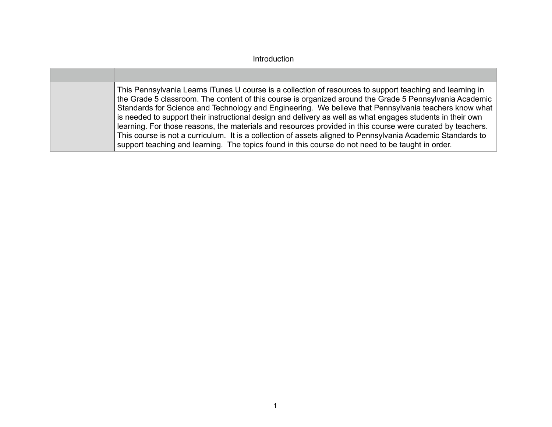| This Pennsylvania Learns iTunes U course is a collection of resources to support teaching and learning in<br>the Grade 5 classroom. The content of this course is organized around the Grade 5 Pennsylvania Academic<br>Standards for Science and Technology and Engineering. We believe that Pennsylvania teachers know what<br>is needed to support their instructional design and delivery as well as what engages students in their own<br>learning. For those reasons, the materials and resources provided in this course were curated by teachers.<br>This course is not a curriculum. It is a collection of assets aligned to Pennsylvania Academic Standards to<br>support teaching and learning. The topics found in this course do not need to be taught in order. |
|-------------------------------------------------------------------------------------------------------------------------------------------------------------------------------------------------------------------------------------------------------------------------------------------------------------------------------------------------------------------------------------------------------------------------------------------------------------------------------------------------------------------------------------------------------------------------------------------------------------------------------------------------------------------------------------------------------------------------------------------------------------------------------|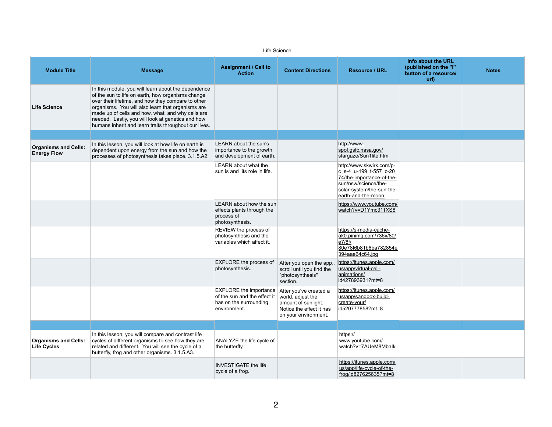Life Science

| <b>Resource / URL</b>                                                                                                                                      | Info about the URL<br>(published on the "i"<br>button of a resource/<br>url) | <b>Notes</b> |
|------------------------------------------------------------------------------------------------------------------------------------------------------------|------------------------------------------------------------------------------|--------------|
|                                                                                                                                                            |                                                                              |              |
|                                                                                                                                                            |                                                                              |              |
| http://www-<br>spof.gsfc.nasa.gov/<br>stargaze/Sun1lite.htm                                                                                                |                                                                              |              |
| http://www.skwirk.com/p-<br>c s-4 u-199 t-557 c-20<br>74/the-importance-of-the-<br>sun/nsw/science/the-<br>solar-system/the-sun-the-<br>earth-and-the-moon |                                                                              |              |
| https://www.youtube.com/<br>watch?v=D1Ymc311XS8                                                                                                            |                                                                              |              |
| https://s-media-cache-<br>ak0.pinimg.com/736x/80/<br>e7/8f/<br>80e78f6b81b6ba782854e<br>394aae64c64.jpg                                                    |                                                                              |              |
| https://itunes.apple.com/<br>us/app/virtual-cell-<br>animations/<br>id427893931?mt=8                                                                       |                                                                              |              |
| https://itunes.apple.com/<br>us/app/sandbox-build-<br>create-your/<br>id520777858?mt=8                                                                     |                                                                              |              |
|                                                                                                                                                            |                                                                              |              |
| https://<br>www.youtube.com/<br>watch?v=7AUeM8Mbalk                                                                                                        |                                                                              |              |
| https://itunes.apple.com/<br>us/app/life-cycle-of-the-<br>frog/id827625635?mt=8                                                                            |                                                                              |              |

cycle of a frog.

**Module Title Message Message Assignment / Call to Assignment / Call to Assignment / Call to Action Content Directions Resource / URL Life Science** In this module, you will learn about the dependence of the sun to life on earth, how organisms change over their lifetime, and how they compare to other organisms. You will also learn that organisms are made up of cells and how, what, and why cells are needed. Lastly, you will look at genetics and how humans inherit and learn traits throughout our lives. **Organisms and Cells: Energy Flow** In this lesson, you will look at how life on earth is dependent upon energy from the sun and how the processes of photosynthesis takes place. 3.1.5.A2. LEARN about the sun's importance to the growth and development of earth. http://wwwspof.gsfc.nasa.gov/ [stargaze/Sun1lite.htm](http://www-spof.gsfc.nasa.gov/stargaze/Sun1lite.htm) LEARN about what the sun is and its role in life. http://www.skwirk.com/ c\_s-4\_u-199\_t-557\_c-20 74/the-importance-of-th sun/nsw/science/thesolar-system/the-sun-th earth-and-the-moon LEARN about how the sun effects plants through the process of photosynthesis. https://www.youtube.com watch?v=D1Ymc311X REVIEW the process of photosynthesis and the variables which affect it. https://s-media-cacheak0.pinimg.com/736x/8 e7/8f/ 80e78f6b81b6ba7828 394aae64c64.jpg EXPLORE the process of photosynthesis. After you open the app., scroll until you find the "photosynthesis" section. https://itunes.apple.com us/app/virtual-cellanimations/ id427893931?mt=8 EXPLORE the importance After you've created a of the sun and the effect it has on the surrounding environment. world, adjust the amount of sunlight. Notice the effect it has on your environment. https://itunes.apple.com us/app/sandbox-buildcreate-your/ id520777858?mt=8 **Organisms and Cells: Life Cycles** In this lesson, you will compare and contrast life cycles of different organisms to see how they are related and different. You will see the cycle of a butterfly, frog and other organisms. 3.1.5.A3. ANALYZE the life cycle of the butterfly. https:// www.youtube.com/ watch?v=7AUeM8Mba INVESTIGATE the life https://itunes.apple.com us/app/life-cycle-of-the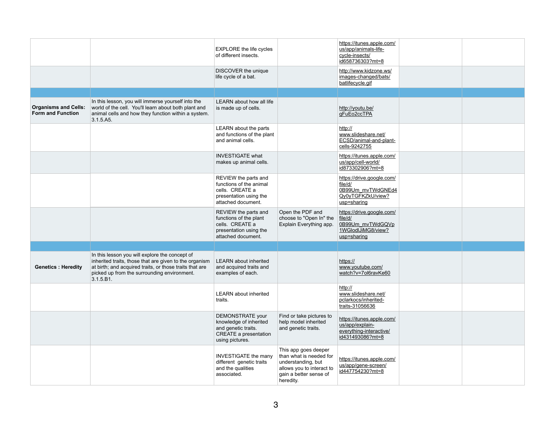|                                                         |                                                                                                                                                                                                                                 | <b>EXPLORE</b> the life cycles<br>of different insects.                                                                     |                                                                                                                                           | https://itunes.apple.com/<br>us/app/animals-life-<br>cycle-insects/<br>id658736303?mt=8       |  |
|---------------------------------------------------------|---------------------------------------------------------------------------------------------------------------------------------------------------------------------------------------------------------------------------------|-----------------------------------------------------------------------------------------------------------------------------|-------------------------------------------------------------------------------------------------------------------------------------------|-----------------------------------------------------------------------------------------------|--|
|                                                         |                                                                                                                                                                                                                                 | DISCOVER the unique<br>life cycle of a bat.                                                                                 |                                                                                                                                           | http://www.kidzone.ws/<br>images-changed/bats/<br>batlifecycle.gif                            |  |
|                                                         |                                                                                                                                                                                                                                 |                                                                                                                             |                                                                                                                                           |                                                                                               |  |
| <b>Organisms and Cells:</b><br><b>Form and Function</b> | In this lesson, you will immerse yourself into the<br>world of the cell. You'll learn about both plant and<br>animal cells and how they function within a system.<br>3.1.5.A5.                                                  | <b>LEARN</b> about how all life<br>is made up of cells.                                                                     |                                                                                                                                           | http://youtu.be/<br>gFuEo2ccTPA                                                               |  |
|                                                         |                                                                                                                                                                                                                                 | LEARN about the parts<br>and functions of the plant<br>and animal cells.                                                    |                                                                                                                                           | http://<br>www.slideshare.net/<br>ECSD/animal-and-plant-<br>cells-9242755                     |  |
|                                                         |                                                                                                                                                                                                                                 | <b>INVESTIGATE what</b><br>makes up animal cells.                                                                           |                                                                                                                                           | https://itunes.apple.com/<br>us/app/cell-world/<br>id873302906?mt=8                           |  |
|                                                         |                                                                                                                                                                                                                                 | REVIEW the parts and<br>functions of the animal<br>cells. CREATE a<br>presentation using the<br>attached document.          |                                                                                                                                           | https://drive.google.com/<br>file/d/<br>0B99Um_mvTWdGNEd4<br>Qy0yTGFKZkU/view?<br>usp=sharing |  |
|                                                         |                                                                                                                                                                                                                                 | REVIEW the parts and<br>functions of the plant<br>cells. CREATE a<br>presentation using the<br>attached document.           | Open the PDF and<br>choose to "Open In" the<br>Explain Everything app.                                                                    | https://drive.google.com/<br>file/d/<br>0B99Um_mvTWdGQVp<br>1WGlodIJiMG8/view?<br>usp=sharing |  |
|                                                         |                                                                                                                                                                                                                                 |                                                                                                                             |                                                                                                                                           |                                                                                               |  |
| <b>Genetics: Heredity</b>                               | In this lesson you will explore the concept of<br>inherited traits, those that are given to the organism<br>at birth; and acquired traits, or those traits that are<br>picked up from the surrounding environment.<br>3.1.5.B1. | <b>LEARN</b> about inherited<br>and acquired traits and<br>examples of each.                                                |                                                                                                                                           | https://<br>www.youtube.com/<br>watch?v=7ol6ravKe60                                           |  |
|                                                         |                                                                                                                                                                                                                                 | <b>LEARN</b> about inherited<br>traits.                                                                                     |                                                                                                                                           | http://<br>www.slideshare.net/<br>pclarkocs/inherited-<br>traits-31056636                     |  |
|                                                         |                                                                                                                                                                                                                                 | <b>DEMONSTRATE</b> your<br>knowledge of inherited<br>and genetic traits.<br><b>CREATE a presentation</b><br>using pictures. | Find or take pictures to<br>help model inherited<br>and genetic traits.                                                                   | https://itunes.apple.com/<br>us/app/explain-<br>everything-interactive/<br>id431493086?mt=8   |  |
|                                                         |                                                                                                                                                                                                                                 | <b>INVESTIGATE the many</b><br>different genetic traits<br>and the qualities<br>associated.                                 | This app goes deeper<br>than what is needed for<br>understanding, but<br>allows you to interact to<br>gain a better sense of<br>heredity. | https://itunes.apple.com/<br>us/app/gene-screen/<br>id447754230?mt=8                          |  |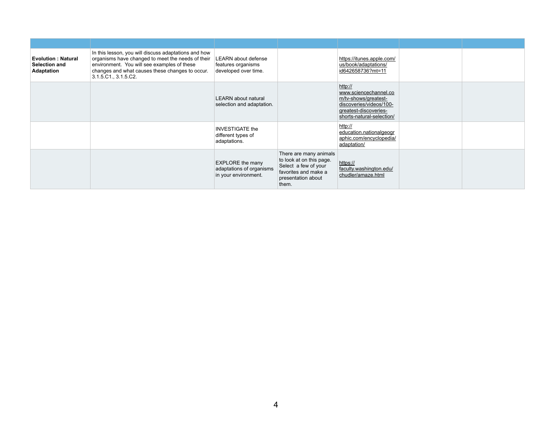| <b>Evolution: Natural</b><br><b>Selection and</b><br><b>Adaptation</b> | In this lesson, you will discuss adaptations and how<br>organisms have changed to meet the needs of their<br>environment. You will see examples of these<br>changes and what causes these changes to occur.<br>3.1.5.C1., 3.1.5.C2. | LEARN about defense<br>features organisms<br>developed over time.           |                                                                                                                                   | https://itunes.apple.com/<br>us/book/adaptations/<br>id642658736?mt=11                                                                    |  |
|------------------------------------------------------------------------|-------------------------------------------------------------------------------------------------------------------------------------------------------------------------------------------------------------------------------------|-----------------------------------------------------------------------------|-----------------------------------------------------------------------------------------------------------------------------------|-------------------------------------------------------------------------------------------------------------------------------------------|--|
|                                                                        |                                                                                                                                                                                                                                     | <b>LEARN</b> about natural<br>selection and adaptation.                     |                                                                                                                                   | http://<br>www.sciencechannel.co<br>m/tv-shows/greatest-<br>discoveries/videos/100-<br>greatest-discoveries-<br>shorts-natural-selection/ |  |
|                                                                        |                                                                                                                                                                                                                                     | <b>INVESTIGATE the</b><br>different types of<br>adaptations.                |                                                                                                                                   | http://<br>education.nationalgeogr<br>aphic.com/encyclopedia/<br>adaptation/                                                              |  |
|                                                                        |                                                                                                                                                                                                                                     | <b>EXPLORE</b> the many<br>adaptations of organisms<br>in your environment. | There are many animals<br>to look at on this page.<br>Select a few of your<br>favorites and make a<br>presentation about<br>them. | https://<br>faculty.washington.edu/<br>chudler/amaze.html                                                                                 |  |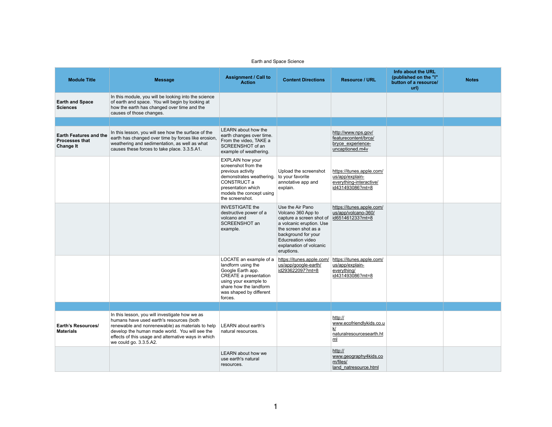| Earth and Space Science                                                    |                                                                                                                                                                                                                                                                                   |                                                                                                                                                                                            |                                                                                                                                                                                                                    |                                                                                                |                                                                              |              |  |
|----------------------------------------------------------------------------|-----------------------------------------------------------------------------------------------------------------------------------------------------------------------------------------------------------------------------------------------------------------------------------|--------------------------------------------------------------------------------------------------------------------------------------------------------------------------------------------|--------------------------------------------------------------------------------------------------------------------------------------------------------------------------------------------------------------------|------------------------------------------------------------------------------------------------|------------------------------------------------------------------------------|--------------|--|
| <b>Module Title</b>                                                        | <b>Message</b>                                                                                                                                                                                                                                                                    | <b>Assignment / Call to</b><br><b>Action</b>                                                                                                                                               | <b>Content Directions</b>                                                                                                                                                                                          | <b>Resource / URL</b>                                                                          | Info about the URL<br>(published on the "i"<br>button of a resource/<br>url) | <b>Notes</b> |  |
| <b>Earth and Space</b><br><b>Sciences</b>                                  | In this module, you will be looking into the science<br>of earth and space. You will begin by looking at<br>how the earth has changed over time and the<br>causes of those changes.                                                                                               |                                                                                                                                                                                            |                                                                                                                                                                                                                    |                                                                                                |                                                                              |              |  |
|                                                                            |                                                                                                                                                                                                                                                                                   |                                                                                                                                                                                            |                                                                                                                                                                                                                    |                                                                                                |                                                                              |              |  |
| <b>Earth Features and the</b><br><b>Processes that</b><br><b>Change It</b> | In this lesson, you will see how the surface of the<br>earth has changed over time by forces like erosion,<br>weathering and sedimentation, as well as what<br>causes these forces to take place. 3.3.5.A1.                                                                       | LEARN about how the<br>earth changes over time.<br>From the video, TAKE a<br>SCREENSHOT of an<br>example of weathering.                                                                    |                                                                                                                                                                                                                    | http://www.nps.gov/<br>featurecontent/brca/<br>bryce experience-<br>uncaptioned.m4v            |                                                                              |              |  |
|                                                                            |                                                                                                                                                                                                                                                                                   | <b>EXPLAIN how your</b><br>screenshot from the<br>previous activity<br>demonstrates weathering.<br>CONSTRUCT a<br>presentation which<br>models the concept using<br>the screenshot.        | Upload the screenshot<br>to your favorite<br>annotative app and<br>explain.                                                                                                                                        | https://itunes.apple.com/<br>us/app/explain-<br>everything-interactive/<br>id431493086?mt=8    |                                                                              |              |  |
|                                                                            |                                                                                                                                                                                                                                                                                   | <b>INVESTIGATE the</b><br>destructive power of a<br>volcano and<br>SCREENSHOT an<br>example.                                                                                               | Use the Air Pano<br>Volcano 360 App to<br>capture a screen shot of<br>a volcanic eruption. Use<br>the screen shot as a<br>background for your<br><b>Educreation video</b><br>explanation of volcanic<br>eruptions. | https://itunes.apple.com/<br>us/app/volcano-360/<br>id651461233?mt=8                           |                                                                              |              |  |
|                                                                            |                                                                                                                                                                                                                                                                                   | LOCATE an example of a<br>landform using the<br>Google Earth app.<br><b>CREATE a presentation</b><br>using your example to<br>share how the landform<br>was shaped by different<br>forces. | https://itunes.apple.com/<br>us/app/google-earth/<br>id293622097?mt=8                                                                                                                                              | https://itunes.apple.com/<br>us/app/explain-<br>everything/<br>id431493086?mt=8                |                                                                              |              |  |
|                                                                            |                                                                                                                                                                                                                                                                                   |                                                                                                                                                                                            |                                                                                                                                                                                                                    |                                                                                                |                                                                              |              |  |
| <b>Earth's Resources/</b><br><b>Materials</b>                              | In this lesson, you will investigate how we as<br>humans have used earth's resources (both<br>renewable and nonrenewable) as materials to help<br>develop the human made world. You will see the<br>effects of this usage and alternative ways in which<br>we could go. 3.3.5.A2. | <b>LEARN</b> about earth's<br>natural resources.                                                                                                                                           |                                                                                                                                                                                                                    | http://<br>www.ecofriendlykids.co.u<br><u>k/</u><br>naturalresourcesearth.ht<br>m <sub>l</sub> |                                                                              |              |  |
|                                                                            |                                                                                                                                                                                                                                                                                   | <b>LEARN</b> about how we<br>use earth's natural<br>resources.                                                                                                                             |                                                                                                                                                                                                                    | http://<br>www.geography4kids.co<br>m/files/<br>land_natresource.html                          |                                                                              |              |  |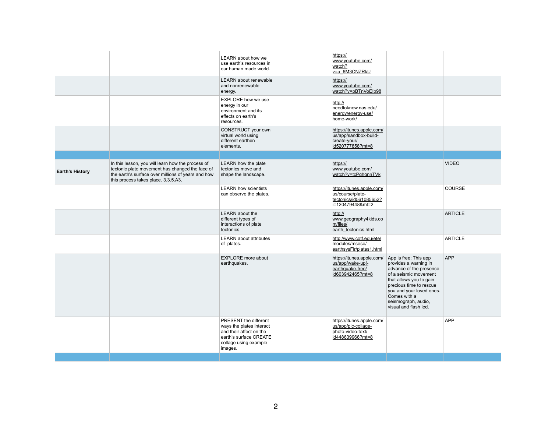|                        |                                                                                                                                                                                                   | <b>LEARN</b> about how we<br>use earth's resources in<br>our human made world.                                                                    | https://<br>www.youtube.com/<br>watch?<br>v=a_6M3CNZRkU                                     |                                                                                                                                                                                                                                                      |                |
|------------------------|---------------------------------------------------------------------------------------------------------------------------------------------------------------------------------------------------|---------------------------------------------------------------------------------------------------------------------------------------------------|---------------------------------------------------------------------------------------------|------------------------------------------------------------------------------------------------------------------------------------------------------------------------------------------------------------------------------------------------------|----------------|
|                        |                                                                                                                                                                                                   | <b>LEARN</b> about renewable<br>and nonrenewable<br>energy.                                                                                       | https://<br>www.youtube.com/<br>watch?v=pBTnVoElb98                                         |                                                                                                                                                                                                                                                      |                |
|                        |                                                                                                                                                                                                   | <b>EXPLORE how we use</b><br>energy in our<br>environment and its<br>effects on earth's<br>resources.                                             | http://<br>needtoknow.nas.edu/<br>energy/energy-use/<br>home-work/                          |                                                                                                                                                                                                                                                      |                |
|                        |                                                                                                                                                                                                   | CONSTRUCT your own<br>virtual world using<br>different earthen<br>elements.                                                                       | https://itunes.apple.com/<br>us/app/sandbox-build-<br>create-your/<br>id520777858?mt=8      |                                                                                                                                                                                                                                                      |                |
| <b>Earth's History</b> | In this lesson, you will learn how the process of<br>tectonic plate movement has changed the face of<br>the earth's surface over millions of years and how<br>this process takes place. 3.3.5.A3. | LEARN how the plate<br>tectonics move and<br>shape the landscape.                                                                                 | https://<br>www.youtube.com/<br>watch?v=tcPghqnnTVk                                         |                                                                                                                                                                                                                                                      | <b>VIDEO</b>   |
|                        |                                                                                                                                                                                                   | <b>LEARN how scientists</b><br>can observe the plates.                                                                                            | https://itunes.apple.com/<br>us/course/plate-<br>tectonics/id561085652?<br>i=120479448&mt=2 |                                                                                                                                                                                                                                                      | <b>COURSE</b>  |
|                        |                                                                                                                                                                                                   | <b>LEARN</b> about the<br>different types of<br>interactions of plate<br>tectonics.                                                               | http://<br>www.geography4kids.co<br>m/files/<br>earth tectonics.html                        |                                                                                                                                                                                                                                                      | <b>ARTICLE</b> |
|                        |                                                                                                                                                                                                   | <b>LEARN</b> about attributes<br>of plates.                                                                                                       | http://www.cotf.edu/ete/<br>modules/msese/<br>earthsysFlr/plates1.html                      |                                                                                                                                                                                                                                                      | <b>ARTICLE</b> |
|                        |                                                                                                                                                                                                   | <b>EXPLORE</b> more about<br>earthquakes.                                                                                                         | https://itunes.apple.com/<br>us/app/wake-up!-<br>earthquake-free/<br>id603942465?mt=8       | App is free; This app<br>provides a warning in<br>advance of the presence<br>of a seismic movement<br>that allows you to gain<br>precious time to rescue<br>you and your loved ones.<br>Comes with a<br>seismograph, audio,<br>visual and flash led. | <b>APP</b>     |
|                        |                                                                                                                                                                                                   | <b>PRESENT</b> the different<br>ways the plates interact<br>and their affect on the<br>earth's surface CREATE<br>collage using example<br>images. | https://itunes.apple.com/<br>us/app/pic-collage-<br>photo-video-text/<br>id448639966?mt=8   |                                                                                                                                                                                                                                                      | <b>APP</b>     |
|                        |                                                                                                                                                                                                   |                                                                                                                                                   |                                                                                             |                                                                                                                                                                                                                                                      |                |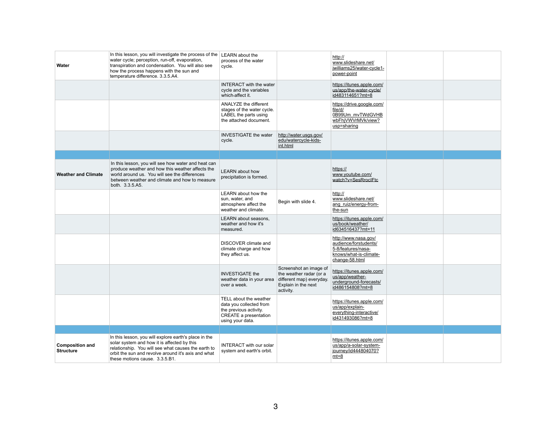| <b>Water</b>                               | In this lesson, you will investigate the process of the<br>water cycle; perception, run-off, evaporation,<br>transpiration and condensation. You will also see<br>how the process happens with the sun and<br>temperature difference. 3.3.5.A4.      | <b>LEARN</b> about the<br>process of the water<br>cycle.                                                                        |                                                                                                                   | http://<br>www.slideshare.net/<br>jwilliams25/water-cycle1-<br>power-point                                      |  |
|--------------------------------------------|------------------------------------------------------------------------------------------------------------------------------------------------------------------------------------------------------------------------------------------------------|---------------------------------------------------------------------------------------------------------------------------------|-------------------------------------------------------------------------------------------------------------------|-----------------------------------------------------------------------------------------------------------------|--|
|                                            |                                                                                                                                                                                                                                                      | <b>INTERACT</b> with the water<br>cycle and the variables<br>which-affect it.                                                   |                                                                                                                   | https://itunes.apple.com/<br>us/app/the-water-cycle/<br>id483114651?mt=8                                        |  |
|                                            |                                                                                                                                                                                                                                                      | <b>ANALYZE the different</b><br>stages of the water cycle.<br>LABEL the parts using<br>the attached document.                   |                                                                                                                   | https://drive.google.com/<br>file/d/<br>0B99Um mvTWdGVHB<br>wbFhjVWVrMVk/view?<br>usp=sharing                   |  |
|                                            |                                                                                                                                                                                                                                                      | <b>INVESTIGATE the water</b><br>cycle.                                                                                          | http://water.usgs.gov/<br>edu/watercycle-kids-<br>int.html                                                        |                                                                                                                 |  |
|                                            |                                                                                                                                                                                                                                                      |                                                                                                                                 |                                                                                                                   |                                                                                                                 |  |
| <b>Weather and Climate</b>                 | In this lesson, you will see how water and heat can<br>produce weather and how this weather affects the<br>world around us. You will see the differences<br>between weather and climate and how to measure<br>both. 3.3.5.A5.                        | <b>LEARN</b> about how<br>precipitation is formed.                                                                              |                                                                                                                   | https://<br>www.youtube.com/<br>watch?v=SesRroclFtc                                                             |  |
|                                            |                                                                                                                                                                                                                                                      | <b>LEARN</b> about how the<br>sun, water, and<br>atmosphere affect the<br>weather and climate.                                  | Begin with slide 4.                                                                                               | http://<br>www.slideshare.net/<br>ang ruiz/energy-from-<br>the-sun                                              |  |
|                                            |                                                                                                                                                                                                                                                      | LEARN about seasons,<br>weather and how it's<br>measured.                                                                       |                                                                                                                   | https://itunes.apple.com/<br>us/book/weather/<br>id634516437?mt=11                                              |  |
|                                            |                                                                                                                                                                                                                                                      | <b>DISCOVER</b> climate and<br>climate charge and how<br>they affect us.                                                        |                                                                                                                   | http://www.nasa.gov/<br>audience/forstudents/<br>5-8/features/nasa-<br>knows/what-is-climate-<br>change-58.html |  |
|                                            |                                                                                                                                                                                                                                                      | <b>INVESTIGATE the</b><br>weather data in your area<br>over a week.                                                             | Screenshot an image of<br>the weather radar (or a<br>different map) everyday.<br>Explain in the next<br>activity. | https://itunes.apple.com/<br>us/app/weather-<br>underground-forecasts/<br>id486154808?mt=8                      |  |
|                                            |                                                                                                                                                                                                                                                      | TELL about the weather<br>data you collected from<br>the previous activity.<br><b>CREATE a presentation</b><br>using your data. |                                                                                                                   | https://itunes.apple.com/<br>us/app/explain-<br>everything-interactive/<br>id431493086?mt=8                     |  |
|                                            |                                                                                                                                                                                                                                                      |                                                                                                                                 |                                                                                                                   |                                                                                                                 |  |
| <b>Composition and</b><br><b>Structure</b> | In this lesson, you will explore earth's place in the<br>solar system and how it is affected by this<br>relationship. You will see what causes the earth to<br>orbit the sun and revolve around it's axis and what<br>these motions cause. 3.3.5.B1. | <b>INTERACT with our solar</b><br>system and earth's orbit.                                                                     |                                                                                                                   | https://itunes.apple.com/<br>us/app/a-solar-system-<br>journey/id444804070?<br>$mt=8$                           |  |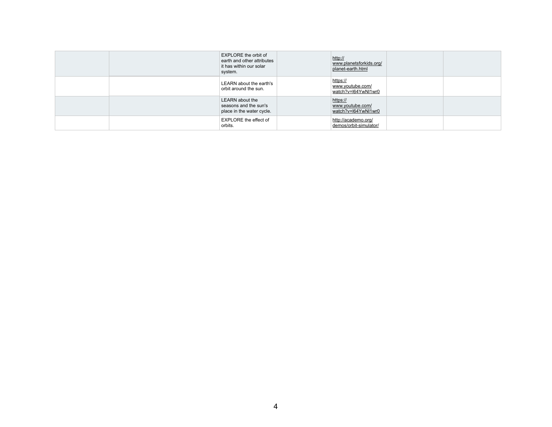|  | <b>EXPLORE</b> the orbit of<br>earth and other attributes<br>it has within our solar<br>system. | http://<br>www.planetsforkids.org/<br>planet-earth.html |  |
|--|-------------------------------------------------------------------------------------------------|---------------------------------------------------------|--|
|  | LEARN about the earth's<br>orbit around the sun.                                                | https://<br>www.youtube.com/<br>watch?v=l64YwNl1wr0     |  |
|  | <b>LEARN</b> about the<br>seasons and the sun's<br>place in the water cycle.                    | https://<br>www.youtube.com/<br>watch?v=l64YwNl1wr0     |  |
|  | <b>EXPLORE</b> the effect of<br>orbits.                                                         | http://academo.org/<br>demos/orbit-simulator/           |  |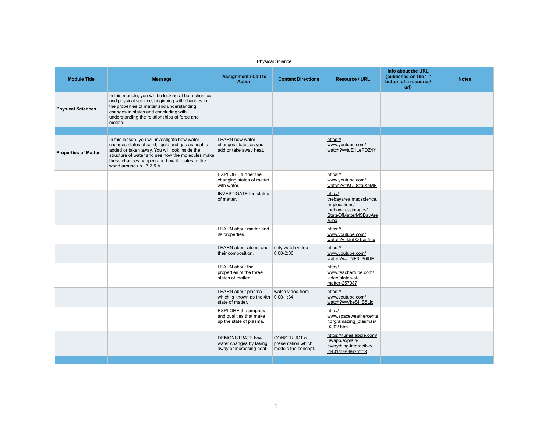| <b>Physical Science</b>     |                                                                                                                                                                                                                                                                                            |                                                                                   |                                                                 |                                                                                                                    |                                                                              |              |
|-----------------------------|--------------------------------------------------------------------------------------------------------------------------------------------------------------------------------------------------------------------------------------------------------------------------------------------|-----------------------------------------------------------------------------------|-----------------------------------------------------------------|--------------------------------------------------------------------------------------------------------------------|------------------------------------------------------------------------------|--------------|
| <b>Module Title</b>         | <b>Message</b>                                                                                                                                                                                                                                                                             | <b>Assignment / Call to</b><br><b>Action</b>                                      | <b>Content Directions</b>                                       | <b>Resource / URL</b>                                                                                              | Info about the URL<br>(published on the "i"<br>button of a resource/<br>url) | <b>Notes</b> |
| <b>Physical Sciences</b>    | In this module, you will be looking at both chemical<br>and physical science, beginning with changes in<br>the properties of matter and understanding<br>changes in states and concluding with<br>understanding the relationships of force and<br>motion.                                  |                                                                                   |                                                                 |                                                                                                                    |                                                                              |              |
|                             |                                                                                                                                                                                                                                                                                            |                                                                                   |                                                                 |                                                                                                                    |                                                                              |              |
| <b>Properties of Matter</b> | In this lesson, you will investigate how water<br>changes states of solid, liquid and gas as heat is<br>added or taken away. You will look inside the<br>structure of water and see how the molecules make<br>these changes happen and how it relates to the<br>world around us. 3.2.5.A1. | <b>LEARN how water</b><br>changes states as you<br>add or take away heat.         |                                                                 | https://<br>www.youtube.com/<br>watch?v=tuE1LePDZ4Y                                                                |                                                                              |              |
|                             |                                                                                                                                                                                                                                                                                            | <b>EXPLORE</b> further the<br>changing states of matter<br>with water.            |                                                                 | https://<br>www.youtube.com/<br>watch?v=KCL8zqjXbME                                                                |                                                                              |              |
|                             |                                                                                                                                                                                                                                                                                            | <b>INVESTIGATE the states</b><br>of matter.                                       |                                                                 | http://<br>thebayarea.madscience.<br>org/locations/<br>thebayarea/images/<br><b>StateOfMatterMSBayAre</b><br>a.jpg |                                                                              |              |
|                             |                                                                                                                                                                                                                                                                                            | LEARN about matter and<br>its properties.                                         |                                                                 | https://<br>www.youtube.com/<br>watch?v=kjnLQ1se2mg                                                                |                                                                              |              |
|                             |                                                                                                                                                                                                                                                                                            | LEARN about atoms and<br>their composition.                                       | only watch video<br>$0:00-2:00$                                 | https://<br>www.youtube.com/<br>watch?v= INF3 30IUE                                                                |                                                                              |              |
|                             |                                                                                                                                                                                                                                                                                            | <b>LEARN</b> about the<br>properties of the three<br>states of matter.            |                                                                 | http://<br>www.teachertube.com/<br>video/states-of-<br>matter-257987                                               |                                                                              |              |
|                             |                                                                                                                                                                                                                                                                                            | LEARN about plasma<br>which is known as the 4th<br>state of matter.               | watch video from<br>$0:00-1:34$                                 | https://<br>www.youtube.com/<br>watch?v=VkeSI B5Ljc                                                                |                                                                              |              |
|                             |                                                                                                                                                                                                                                                                                            | <b>EXPLORE</b> the property<br>and qualities that make<br>up the state of plasma. |                                                                 | http://<br>www.spaceweathercente<br>r.org/amazing plasmas/<br>02/02.html                                           |                                                                              |              |
|                             |                                                                                                                                                                                                                                                                                            | <b>DEMONSTRATE how</b><br>water changes by taking<br>away or increasing heat.     | <b>CONSTRUCT a</b><br>presentation which<br>models the concept. | https://itunes.apple.com/<br>us/app/explain-<br>everything-interactive/<br>id431493086?mt=8                        |                                                                              |              |
|                             |                                                                                                                                                                                                                                                                                            |                                                                                   |                                                                 |                                                                                                                    |                                                                              |              |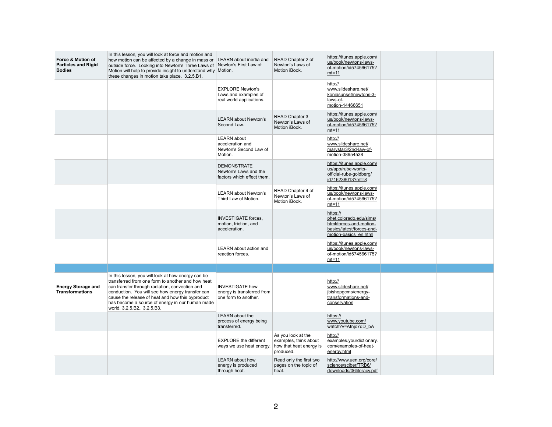| Force & Motion of<br><b>Particles and Rigid</b><br><b>Bodies</b> | In this lesson, you will look at force and motion and<br>how motion can be affected by a change in mass or<br>outside force. Looking into Newton's Three Laws of Newton's First Law of<br>Motion will help to provide insight to understand why Motion.<br>these changes in motion take place. 3.2.5.B1.                                            | <b>LEARN</b> about inertia and                                               | READ Chapter 2 of<br>Newton's Laws of<br>Motion iBook.                              | https://itunes.apple.com/<br>us/book/newtons-laws-<br>of-motion/id574566175?<br>$mt=11$                              |  |
|------------------------------------------------------------------|-----------------------------------------------------------------------------------------------------------------------------------------------------------------------------------------------------------------------------------------------------------------------------------------------------------------------------------------------------|------------------------------------------------------------------------------|-------------------------------------------------------------------------------------|----------------------------------------------------------------------------------------------------------------------|--|
|                                                                  |                                                                                                                                                                                                                                                                                                                                                     | <b>EXPLORE Newton's</b><br>Laws and examples of<br>real world applications.  |                                                                                     | http://<br>www.slideshare.net/<br>koniasunset/newtons-3-<br>laws-of-<br>motion-14466651                              |  |
|                                                                  |                                                                                                                                                                                                                                                                                                                                                     | <b>LEARN about Newton's</b><br>Second Law.                                   | <b>READ Chapter 3</b><br>Newton's Laws of<br>Motion iBook.                          | https://itunes.apple.com/<br>us/book/newtons-laws-<br>of-motion/id574566175?<br>$mt=11$                              |  |
|                                                                  |                                                                                                                                                                                                                                                                                                                                                     | <b>LEARN</b> about<br>acceleration and<br>Newton's Second Law of<br>Motion.  |                                                                                     | http://<br>www.slideshare.net/<br>marystar3/2nd-law-of-<br>motion-38954538                                           |  |
|                                                                  |                                                                                                                                                                                                                                                                                                                                                     | <b>DEMONSTRATE</b><br>Newton's Laws and the<br>factors which effect them.    |                                                                                     | https://itunes.apple.com/<br>us/app/rube-works-<br>official-rube-goldberg/<br>id716238013?mt=8                       |  |
|                                                                  |                                                                                                                                                                                                                                                                                                                                                     | <b>LEARN about Newton's</b><br>Third Law of Motion.                          | READ Chapter 4 of<br>Newton's Laws of<br>Motion iBook.                              | https://itunes.apple.com/<br>us/book/newtons-laws-<br>of-motion/id574566175?<br>$mt=11$                              |  |
|                                                                  |                                                                                                                                                                                                                                                                                                                                                     | <b>INVESTIGATE</b> forces,<br>motion, friction, and<br>acceleration.         |                                                                                     | https://<br>phet.colorado.edu/sims/<br>html/forces-and-motion-<br>basics/latest/forces-and-<br>motion-basics en.html |  |
|                                                                  |                                                                                                                                                                                                                                                                                                                                                     | <b>LEARN</b> about action and<br>reaction forces.                            |                                                                                     | https://itunes.apple.com/<br>us/book/newtons-laws-<br>of-motion/id574566175?<br>$mt=11$                              |  |
|                                                                  |                                                                                                                                                                                                                                                                                                                                                     |                                                                              |                                                                                     |                                                                                                                      |  |
| <b>Energy Storage and</b><br><b>Transformations</b>              | In this lesson, you will look at how energy can be<br>transferred from one form to another and how heat<br>can transfer through radiation, convection and<br>conduction. You will see how energy transfer can<br>cause the release of heat and how this byproduct<br>has become a source of energy in our human made<br>world. 3.2.5.B2., 3.2.5.B3. | <b>INVESTIGATE how</b><br>energy is transferred from<br>one form to another. |                                                                                     | http://<br>www.slideshare.net/<br>jbishopgcms/energy-<br>transformations-and-<br>conservation                        |  |
|                                                                  |                                                                                                                                                                                                                                                                                                                                                     | <b>LEARN</b> about the<br>process of energy being<br>transferred.            |                                                                                     | https://<br>www.youtube.com/<br>watch?v=Atnjo7dD bA                                                                  |  |
|                                                                  |                                                                                                                                                                                                                                                                                                                                                     | <b>EXPLORE</b> the different<br>ways we use heat energy.                     | As you look at the<br>examples, think about<br>how that heat energy is<br>produced. | http://<br>examples yourdictionary.<br>com/examples-of-heat-<br>energy.html                                          |  |
|                                                                  |                                                                                                                                                                                                                                                                                                                                                     | <b>LEARN</b> about how<br>energy is produced<br>through heat.                | Read only the first two<br>pages on the topic of<br>heat.                           | http://www.uen.org/core/<br>science/sciber/TRB6/<br>downloads/06literacy.pdf                                         |  |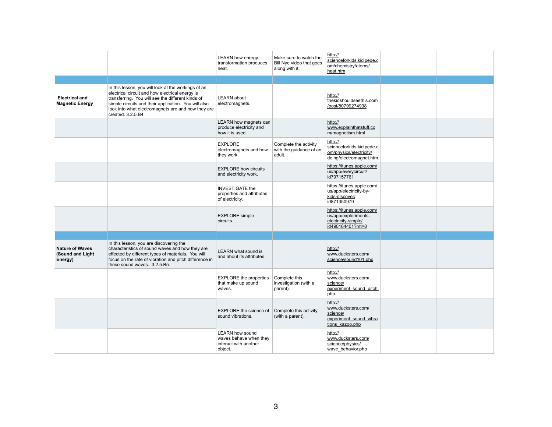|                                                       |                                                                                                                                                                                                                                                                                                 | <b>LEARN how energy</b><br>transformation produces<br>heat.                          | Make sure to watch the<br>Bill Nye video that goes<br>along with it. | http://<br>scienceforkids.kidipede.c<br>om/chemistry/atoms/<br>heat.htm                      |  |
|-------------------------------------------------------|-------------------------------------------------------------------------------------------------------------------------------------------------------------------------------------------------------------------------------------------------------------------------------------------------|--------------------------------------------------------------------------------------|----------------------------------------------------------------------|----------------------------------------------------------------------------------------------|--|
|                                                       |                                                                                                                                                                                                                                                                                                 |                                                                                      |                                                                      |                                                                                              |  |
| <b>Electrical and</b><br><b>Magnetic Energy</b>       | In this lesson, you will look at the workings of an<br>electrical circuit and how electrical energy is<br>transferring. You will see the different kinds of<br>simple circuits and their application. You will also<br>look into what electromagnets are and how they are<br>created. 3.2.5.B4. | <b>LEARN</b> about<br>electromagnets.                                                |                                                                      | http://<br>thekidshouldseethis.com<br>/post/80799274938                                      |  |
|                                                       |                                                                                                                                                                                                                                                                                                 | LEARN how magnets can<br>produce electricity and<br>how it is used.                  |                                                                      | http://<br>www.explainthatstuff.co<br>m/magnetism.html                                       |  |
|                                                       |                                                                                                                                                                                                                                                                                                 | <b>EXPLORE</b><br>electromagnets and how<br>they work.                               | Complete the activity<br>with the guidance of an<br>adult.           | http://<br>scienceforkids.kidipede.c<br>om/physics/electricity/<br>doing/electromagnet.htm   |  |
|                                                       |                                                                                                                                                                                                                                                                                                 | <b>EXPLORE how circuits</b><br>and electricity work.                                 |                                                                      | https://itunes.apple.com/<br>us/app/everycircuit/<br>id797157761                             |  |
|                                                       |                                                                                                                                                                                                                                                                                                 | <b>INVESTIGATE the</b><br>properties and attributes<br>of electricity.               |                                                                      | https://itunes.apple.com/<br>us/app/electricity-by-<br>kids-discover/<br>id871350979         |  |
|                                                       |                                                                                                                                                                                                                                                                                                 | <b>EXPLORE</b> simple<br>circuits.                                                   |                                                                      | https://itunes.apple.com/<br>us/app/exploriments-<br>electricity-simple/<br>id490164401?mt=8 |  |
|                                                       |                                                                                                                                                                                                                                                                                                 |                                                                                      |                                                                      |                                                                                              |  |
| <b>Nature of Waves</b><br>(Sound and Light<br>Energy) | In this lesson, you are discovering the<br>characteristics of sound waves and how they are<br>effected by different types of materials. You will<br>focus on the rate of vibration and pitch difference in<br>these sound waves. 3.2.5.B5.                                                      | <b>LEARN</b> what sound is<br>and about its attributes.                              |                                                                      | http://<br>www.ducksters.com/<br>science/sound101.php                                        |  |
|                                                       |                                                                                                                                                                                                                                                                                                 | <b>EXPLORE</b> the properties<br>that make up sound<br>waves.                        | Complete this<br>investigation (with a<br>parent).                   | http://<br>www.ducksters.com/<br>science/<br>experiment sound pitch.<br>php                  |  |
|                                                       |                                                                                                                                                                                                                                                                                                 | <b>EXPLORE</b> the science of<br>sound vibrations.                                   | Complete this activity<br>(with a parent).                           | http://<br>www.ducksters.com/<br>science/<br>experiment sound vibra<br>tions kazoo.php       |  |
|                                                       |                                                                                                                                                                                                                                                                                                 | <b>LEARN how sound</b><br>waves behave when they<br>interact with another<br>object. |                                                                      | http://<br>www.ducksters.com/<br>science/physics/<br>wave_behavior.php                       |  |